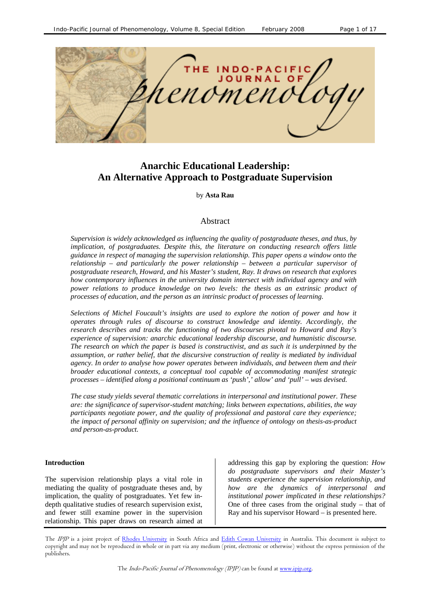

# **Anarchic Educational Leadership: An Alternative Approach to Postgraduate Supervision**

by **Asta Rau**

#### Abstract

*Supervision is widely acknowledged as influencing the quality of postgraduate theses, and thus, by implication, of postgraduates. Despite this, the literature on conducting research offers little guidance in respect of managing the supervision relationship. This paper opens a window onto the relationship – and particularly the power relationship – between a particular supervisor of postgraduate research, Howard, and his Master's student, Ray. It draws on research that explores how contemporary influences in the university domain intersect with individual agency and with power relations to produce knowledge on two levels: the thesis as an extrinsic product of processes of education, and the person as an intrinsic product of processes of learning.* 

*Selections of Michel Foucault's insights are used to explore the notion of power and how it operates through rules of discourse to construct knowledge and identity. Accordingly, the research describes and tracks the functioning of two discourses pivotal to Howard and Ray's experience of supervision: anarchic educational leadership discourse, and humanistic discourse. The research on which the paper is based is constructivist, and as such it is underpinned by the assumption, or rather belief, that the discursive construction of reality is mediated by individual agency. In order to analyse how power operates between individuals, and between them and their broader educational contexts, a conceptual tool capable of accommodating manifest strategic processes – identified along a positional continuum as 'push',' allow' and 'pull' – was devised.* 

*The case study yields several thematic correlations in interpersonal and institutional power. These are: the significance of supervisor-student matching; links between expectations, abilities, the way participants negotiate power, and the quality of professional and pastoral care they experience; the impact of personal affinity on supervision; and the influence of ontology on thesis-as-product and person-as-product.* 

#### **Introduction**

The supervision relationship plays a vital role in mediating the quality of postgraduate theses and, by implication, the quality of postgraduates. Yet few indepth qualitative studies of research supervision exist, and fewer still examine power in the supervision relationship. This paper draws on research aimed at

addressing this gap by exploring the question: *How do postgraduate supervisors and their Master's students experience the supervision relationship, and how are the dynamics of interpersonal and institutional power implicated in these relationships?*  One of three cases from the original study *–* that of Ray and his supervisor Howard *–* is presented here.

The IPJP is a joint project of Rhodes University in South Africa and Edith Cowan University in Australia. This document is subject to copyright and may not be reproduced in whole or in part via any medium (print, electronic or otherwise) without the express permission of the publishers.

The Indo-Pacific Journal of Phenomenology (IPJP) can be found at www.ipjp.org.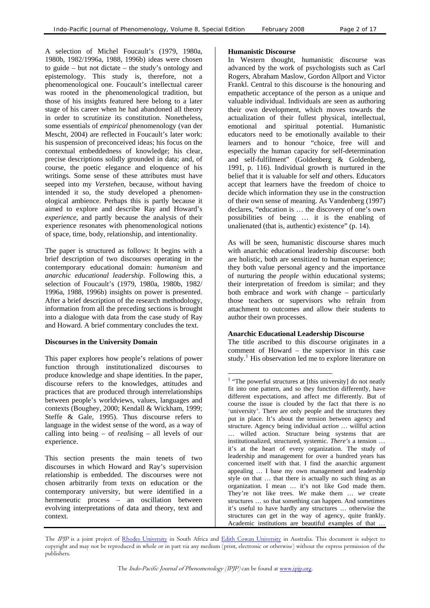A selection of Michel Foucault's (1979, 1980a, 1980b, 1982/1996a, 1988, 1996b) ideas were chosen to guide *–* but not dictate – the study's ontology and epistemology. This study is, therefore, not a phenomenological one. Foucault's intellectual career was rooted in the phenomenological tradition, but those of his insights featured here belong to a later stage of his career when he had abandoned all theory in order to scrutinize its constitution. Nonetheless, some essentials of *empirical* phenomenology (van der Mescht, 2004) are reflected in Foucault's later work: his suspension of preconceived ideas; his focus on the contextual embeddedness of knowledge; his clear, precise descriptions solidly grounded in data; and, of course, the poetic elegance and eloquence of his writings. Some sense of these attributes must have seeped into my *Verstehen*, because, without having intended it so, the study developed a phenomenological ambience. Perhaps this is partly because it aimed to explore and describe Ray and Howard's *experience*, and partly because the analysis of their experience resonates with phenomenological notions of space, time, body, relationship, and intentionality.

The paper is structured as follows: It begins with a brief description of two discourses operating in the contemporary educational domain: *humanism* and *anarchic educational leadership*. Following this, a selection of Foucault's (1979, 1980a, 1980b, 1982/ 1996a, 1988, 1996b) insights on power is presented. After a brief description of the research methodology, information from all the preceding sections is brought into a dialogue with data from the case study of Ray and Howard. A brief commentary concludes the text.

## **Discourses in the University Domain**

<span id="page-1-0"></span>This paper explores how people's relations of power function through institutionalized discourses to produce knowledge and shape identities. In the paper, discourse refers to the knowledges, attitudes and practices that are produced through interrelationships between people's worldviews, values, languages and contexts (Boughey, 2000; Kendall & Wickham, 1999; Steffe & Gale, 1995). Thus discourse refers to language in the widest sense of the word, as a way of calling into being – of *real*ising – all levels of our experience.

This section presents the main tenets of two discourses in which Howard and Ray's supervision relationship is embedded. The discourses were not chosen arbitrarily from texts on education or the contemporary university, but were identified in a hermeneutic process – an oscillation between evolving interpretations of data and theory, text and context.

#### **Humanistic Discourse**

In Western thought, humanistic discourse was advanced by the work of psychologists such as Carl Rogers, Abraham Maslow, Gordon Allport and Victor Frankl. Central to this discourse is the honouring and empathetic acceptance of the person as a unique and valuable individual. Individuals are seen as authoring their own development, which moves towards the actualization of their fullest physical, intellectual, emotional and spiritual potential. Humanistic educators need to be emotionally available to their learners and to honour "choice, free will and especially the human capacity for self*-*determination and self*-*fulfilment" (Goldenberg & Goldenberg, 1991, p. 116). Individual growth is nurtured in the belief that it is valuable for self *and* others. Educators accept that learners have the freedom of choice to decide which information they use in the construction of their own sense of meaning. As Vandenberg (1997) declares, "education is … the discovery of one's own possibilities of being … it is the enabling of unalienated (that is, authentic) existence" (p. 14).

As will be seen, humanistic discourse shares much with anarchic educational leadership discourse: both are holistic, both are sensitized to human experience; they both value personal agency and the importance of nurturing the *people* within educational systems; their interpretation of freedom is similar; and they both embrace and work *with* change – particularly those teachers or supervisors who refrain from attachment to outcomes and allow their students to author their own processes.

## **Anarchic Educational Leadership Discourse**

The title ascribed to this discourse originates in a comment of Howard – the supervisor in this case study.<sup>[1](#page-1-0)</sup> His observation led me to explore literature on

<sup>&</sup>lt;sup>1</sup> "The powerful structures at [this university] do not neatly fit into one pattern, and so they function differently, have different expectations, and affect me differently. But of course the issue is clouded by the fact that there is no 'university'. There are only people and the structures they put in place. It's about the tension between agency and structure. Agency being individual *action* … willful action … willed action. Structure being systems that are institutionalized, structured, systemic. *There's* a tension … it's at the heart of every organization. The study of leadership and management for over a hundred years has concerned itself with that. I find the anarchic argument appealing … I base my own management and leadership style on that … that there is actually no such thing as an organization. I mean … it's not like God made them. They're not like trees. *We* make them … *we* create structures … so that something can happen. And sometimes it's useful to have hardly any structures … otherwise the structures can get in the way of agency, quite frankly. Academic institutions are beautiful examples of that …

The IPJP is a joint project of Rhodes University in South Africa and Edith Cowan University in Australia. This document is subject to copyright and may not be reproduced in whole or in part via any medium (print, electronic or otherwise) without the express permission of the publishers.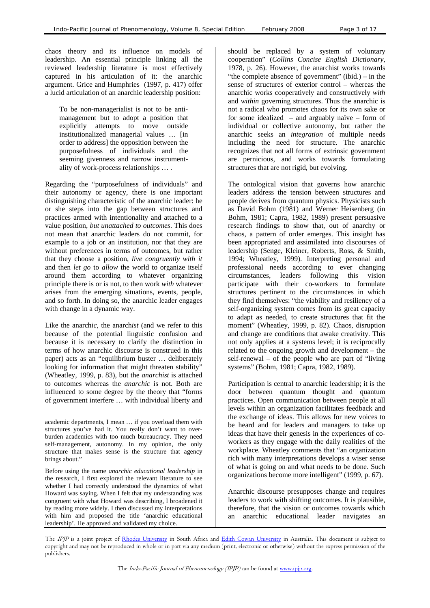chaos theory and its influence on models of leadership. An essential principle linking all the reviewed leadership literature is most effectively captured in his articulation of it: the anarchic argument. Grice and Humphries (1997, p. 417) offer a lucid articulation of an anarchic leadership position:

To be non*-*managerialist is not to be antimanagement but to adopt a position that explicitly attempts to move outside institutionalized managerial values … [in order to address] the opposition between the purposefulness of individuals and the seeming givenness and narrow instrumentality of work*-*process relationships … .

Regarding the "purposefulness of individuals" and their autonomy or agency, there is one important distinguishing characteristic of the anarchic leader: he or she steps into the gap between structures and practices armed with intentionality and attached to a value position, *but unattached to outcomes*. This does not mean that anarchic leaders do not commit, for example to a job or an institution, nor that they are without preferences in terms of outcomes, but rather that they choose a position, *live congruently with it* and then *let go* to *allow* the world to organize itself around them according to whatever organizing principle there is or is not, to then work *with* whatever arises from the emerging situations, events, people, and so forth. In doing so, the anarchic leader engages with change in a dynamic way.

Like the anarch*ic*, the anarch*ist* (and we refer to this because of the potential linguistic confusion and because it is necessary to clarify the distinction in terms of how anarchic discourse is construed in this paper) acts as an "equilibrium buster … deliberately looking for information that might threaten stability" (Wheatley, 1999, p. 83), but the *anarchist* is attached to outcomes whereas the *anarchic* is not. Both are influenced to some degree by the theory that "forms of government interfere … with individual liberty and

 $\overline{a}$ 

Before using the name *anarchic educational leadership* in the research, I first explored the relevant literature to see whether I had correctly understood the dynamics of what Howard was saying. When I felt that my understanding was congruent with what Howard was describing, I broadened it by reading more widely. I then discussed my interpretations with him and proposed the title 'anarchic educational leadership'. He approved and validated my choice.

should be replaced by a system of voluntary cooperation" (*Collins Concise English Dictionary*, 1978, p. 26). However, the anarchist works towards "the complete absence of government" (ibid.) – in the sense of structures of exterior control – whereas the anarchic works cooperatively and constructively *with* and *within* governing structures. Thus the anarchic is not a radical who promotes chaos for its own sake or for some idealized – and arguably naïve – form of individual or collective autonomy, but rather the anarchic seeks an *integration* of multiple needs including the need for structure. The anarchic recognizes that not all forms of extrinsic government are pernicious, and works towards formulating structures that are not rigid, but evolving.

The ontological vision that governs how anarchic leaders address the tension between structures and people derives from quantum physics. Physicists such as David Bohm (1981) and Werner Heisenberg (in Bohm, 1981; Capra, 1982, 1989) present persuasive research findings to show that, out of anarchy or chaos, a pattern of order emerges. This insight has been appropriated and assimilated into discourses of leadership (Senge, Kleiner, Roberts, Ross, & Smith, 1994; Wheatley, 1999). Interpreting personal and professional needs according to ever changing circumstances, leaders following this vision participate with their co*-*workers to formulate structures pertinent to the circumstances in which they find themselves: "the viability and resiliency of a self*-*organizing system comes from its great capacity to adapt as needed, to create structures that fit the moment" (Wheatley, 1999, p. 82). Chaos, disruption and change are conditions that awake creativity. This not only applies at a systems level; it is reciprocally related to the ongoing growth and development – the self*-*renewal – of the people who are part of "living systems" (Bohm, 1981; Capra, 1982, 1989).

Participation is central to anarchic leadership; it is the door between quantum thought and quantum practices. Open communication between people at all levels within an organization facilitates feedback and the exchange of ideas. This allows for new voices to be heard and for leaders and managers to take up ideas that have their genesis in the experiences of coworkers as they engage with the daily realities of the workplace. Wheatley comments that "an organization rich with many interpretations develops a wiser sense of what is going on and what needs to be done. Such organizations become more intelligent" (1999, p. 67).

Anarchic discourse presupposes change and requires leaders to work with shifting outcomes. It is plausible, therefore, that the vision or outcomes towards which an anarchic educational leader navigates an

The IPJP is a joint project of Rhodes University in South Africa and Edith Cowan University in Australia. This document is subject to copyright and may not be reproduced in whole or in part via any medium (print, electronic or otherwise) without the express permission of the publishers.

academic departments, I mean … if you overload them with structures you've had it. You really don't want to overburden academics with too much bureaucracy. They need self-management, autonomy. In my opinion, the only structure that makes sense is the structure that agency brings about."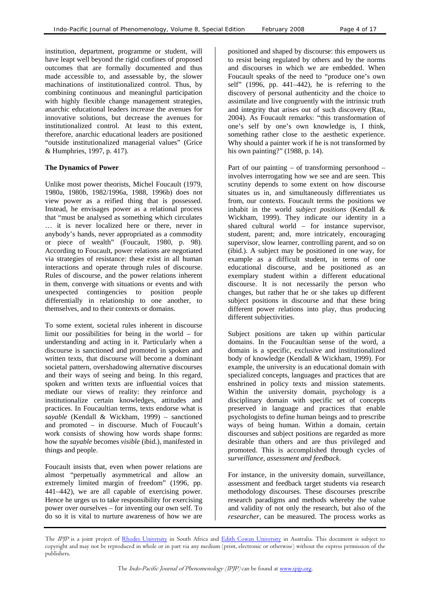institution, department, programme or student, will have leapt well beyond the rigid confines of proposed outcomes that are formally documented and thus made accessible to, and assessable by, the slower machinations of institutionalized control. Thus, by combining continuous and meaningful participation with highly flexible change management strategies, anarchic educational leaders increase the avenues for innovative solutions, but decrease the avenues for institutionalized control. At least to this extent, therefore, anarchic educational leaders are positioned "outside institutionalized managerial values" (Grice & Humphries, 1997, p. 417).

## **The Dynamics of Power**

Unlike most power theorists, Michel Foucault (1979, 1980a, 1980b, 1982/1996a, 1988, 1996b) does not view power as a reified thing that is possessed. Instead, he envisages power as a relational process that "must be analysed as something which circulates … it is never localized here or there, never in anybody's hands, never appropriated as a commodity or piece of wealth" (Foucault, 1980, p. 98). According to Foucault, power relations are negotiated via strategies of resistance: these exist in all human interactions and operate through rules of discourse. Rules of discourse, and the power relations inherent in them, converge with situations or events and with unexpected contingencies to position people differentially in relationship to one another, to themselves, and to their contexts or domains.

To some extent, societal rules inherent in discourse limit our possibilities for being in the world – for understanding and acting in it. Particularly when a discourse is sanctioned and promoted in spoken and written texts, that discourse will become a dominant societal pattern, overshadowing alternative discourses and their ways of seeing and being. In this regard, spoken and written texts are influential voices that mediate our views of reality: they reinforce and institutionalize certain knowledges, attitudes and practices. In Foucaultian terms, texts endorse what is *sayable* (Kendall & Wickham, 1999) – sanctioned and promoted – in discourse. Much of Foucault's work consists of showing how words shape forms: how the *sayable* becomes *visible* (ibid.), manifested in things and people.

Foucault insists that, even when power relations are almost "perpetually asymmetrical and allow an extremely limited margin of freedom" (1996, pp. 441–442), we are all capable of exercising power. Hence he urges us to take responsibility for exercising power over ourselves – for inventing our own self. To do so it is vital to nurture awareness of how we are

positioned and shaped by discourse: this empowers us to resist being regulated by others and by the norms and discourses in which we are embedded. When Foucault speaks of the need to "produce one's own self" (1996, pp.  $441-442$ ), he is referring to the discovery of personal authenticity and the choice to assimilate and live congruently with the intrinsic truth and integrity that arises out of such discovery (Rau, 2004). As Foucault remarks: "this transformation of one's self by one's own knowledge is, I think, something rather close to the aesthetic experience. Why should a painter work if he is not transformed by his own painting?" (1988, p. 14).

Part of our painting – of transforming personhood – involves interrogating how we see and are seen. This scrutiny depends to some extent on how discourse situates us in, and simultaneously differentiates us from, our contexts. Foucault terms the positions we inhabit in the world *subject positions* (Kendall & Wickham, 1999). They indicate our identity in a shared cultural world – for instance supervisor, student, parent; and, more intricately, encouraging supervisor, slow learner, controlling parent, and so on (ibid.). A subject may be positioned in one way, for example as a difficult student, in terms of one educational discourse, and be positioned as an exemplary student within a different educational discourse. It is not necessarily the person who changes, but rather that he or she takes up different subject positions in discourse and that these bring different power relations into play, thus producing different subjectivities.

Subject positions are taken up within particular domains. In the Foucaultian sense of the word, a domain is a specific, exclusive and institutionalized body of knowledge (Kendall & Wickham, 1999). For example, the university is an educational domain with specialized concepts, languages and practices that are enshrined in policy texts and mission statements. Within the university domain, psychology is a disciplinary domain with specific set of concepts preserved in language and practices that enable psychologists to define human beings and to prescribe ways of being human. Within a domain, certain discourses and subject positions are regarded as more desirable than others and are thus privileged and promoted. This is accomplished through cycles of *surveillance, assessment and feedback*.

For instance, in the university domain, surveillance, assessment and feedback target students via research methodology discourses. These discourses prescribe research paradigms and methods whereby the value and validity of not only the research, but also of the *researcher*, can be measured. The process works as

The IPJP is a joint project of Rhodes University in South Africa and Edith Cowan University in Australia. This document is subject to copyright and may not be reproduced in whole or in part via any medium (print, electronic or otherwise) without the express permission of the publishers.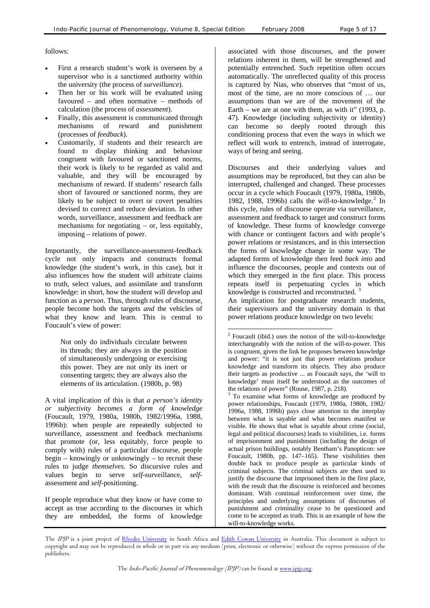#### follows:

- First a research student's work is overseen by a supervisor who is a sanctioned authority within the university (the process of *surveillance*).
- Then her or his work will be evaluated using favoured – and often normative – methods of calculation (the process of *assessment*).
- Finally, this assessment is communicated through mechanisms of reward and punishment (processes of *feedback*).
- Customarily, if students and their research are found to display thinking and behaviour congruent with favoured or sanctioned norms, their work is likely to be regarded as valid and valuable, and they will be encouraged by mechanisms of reward. If students' research falls short of favoured or sanctioned norms, they are likely to be subject to overt or covert penalties devised to correct and reduce deviation. In other words, surveillance, assessment and feedback are mechanisms for negotiating – or, less equitably, imposing – relations of power.

Importantly, the surveillance-assessment-feedback cycle not only impacts and constructs formal knowledge (the student's work, in this case), but it also influences how the student will arbitrate claims to truth, select values, and assimilate and transform knowledge: in short, how the student will develop and function as a *person*. Thus, through rules of discourse, people become both the targets *and* the vehicles of what they know and learn. This is central to Foucault's view of power:

<span id="page-4-0"></span>Not only do individuals circulate between its threads; they are always in the position of simultaneously undergoing or exercising this power. They are not only its inert or consenting targets; they are always also the elements of its articulation. (1980b, p. 98)

<span id="page-4-1"></span>A vital implication of this is that *a person's identity or subjectivity becomes a form of knowledge* (Foucault, 1979, 1980a, 1980b, 1982/1996a, 1988, 1996b): when people are repeatedly subjected to surveillance, assessment and feedback mechanisms that promote (or, less equitably, force people to comply with) rules of a particular discourse, people begin – knowingly or unknowingly – to recruit these rules to judge *themselves*. So discursive rules and values begin to serve *self*-surveillance, *self*assessment and *self*-positioning.

If people reproduce what they know or have come to accept as true according to the discourses in which they are embedded, the forms of knowledge associated with those discourses, and the power relations inherent in them, will be strengthened and potentially entrenched. Such repetition often occurs automatically. The unreflected quality of this process is captured by Nias, who observes that "most of us, most of the time, are no more conscious of … our assumptions than we are of the movement of the Earth – we are at one with them, as with it"  $(1993, p.$ 47). Knowledge (including subjectivity or identity) can become so deeply rooted through this conditioning process that even the ways in which we reflect will work to entrench, instead of interrogate, ways of being and seeing.

Discourses and their underlying values and assumptions may be reproduced, but they can also be interrupted, challenged and changed. These processes occur in a cycle which Foucault (1979, 1980a, 1980b, 198[2](#page-4-0), 1988, 1996b) calls the will-to-knowledge. $2$  In this cycle, rules of discourse operate via surveillance, assessment and feedback to target and construct forms of knowledge. These forms of knowledge converge with chance or contingent factors and with people's power relations or resistances, and in this intersection the forms of knowledge change in some way. The adapted forms of knowledge then feed *back into* and influence the discourses, people and contexts out of which they emerged in the first place. This process repeats itself in perpetuating cycles in which knowledge is constructed and reconstructed.

An implication for postgraduate research students, their supervisors and the university domain is that power relations produce knowledge on two levels:

<sup>3</sup> To examine what forms of knowledge are produced by power relationships, Foucault (1979, 1980a, 1980b, 1982/ 1996a, 1988, 1996b) pays close attention to the interplay between what is sayable and what becomes manifest or visible. He shows that what is sayable about crime (social, legal and political discourses) leads to visibilities, i.e. forms of imprisonment and punishment (including the design of actual prison buildings, notably Bentham's Panopticon: see Foucault, 1980b, pp. 147–165). These visibilities then double back to produce people as particular kinds of criminal subjects. The criminal subjects are then used to justify the discourse that imprisoned them in the first place, with the result that the discourse is reinforced and becomes dominant. With continual reinforcement over time, the principles and underlying assumptions of discourses of punishment and criminality cease to be questioned and come to be accepted as truth. This is an example of how the will-to-knowledge works.

 2 Foucault (ibid.) uses the notion of the will-to-knowledge interchangeably with the notion of the will-to-power. This is congruent, given the link he proposes between knowledge and power: "it is not just that power relations produce knowledge and transform its objects. They also produce their targets as productive ... as Foucault says, the 'will to knowledge' must itself be understood as the outcomes of the relations of power" (Rouse, 1987, p. 218).

The IPJP is a joint project of Rhodes University in South Africa and Edith Cowan University in Australia. This document is subject to copyright and may not be reproduced in whole or in part via any medium (print, electronic or otherwise) without the express permission of the publishers.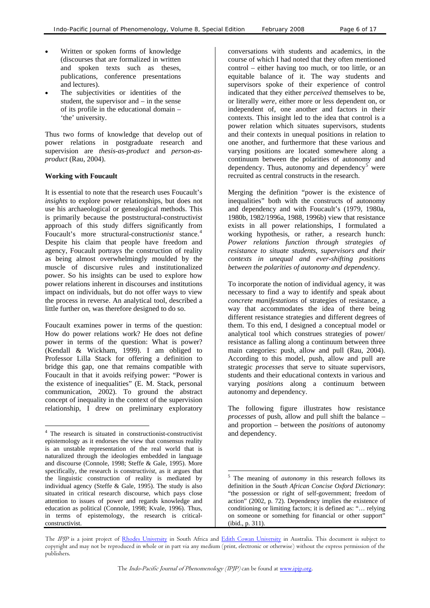- Written or spoken forms of knowledge (discourses that are formalized in written and spoken texts such as theses, publications, conference presentations and lectures).
- The subjectivities or identities of the student, the supervisor and – in the sense of its profile in the educational domain – 'the' university.

Thus two forms of knowledge that develop out of power relations in postgraduate research and supervision are *thesis-as-product* and *person-asproduct* (Rau, 2004).

#### **Working with Foucault**

 $\overline{a}$ 

It is essential to note that the research uses Foucault's *insights* to explore power relationships, but does not use his archaeological or genealogical methods. This is primarily because the poststructural-constructi*vist* approach of this study differs significantly from Foucault's more structural-constructionist stance.<sup>[4](#page-5-0)</sup> Despite his claim that people have freedom and agency, Foucault portrays the construction of reality as being almost overwhelmingly moulded by the muscle of discursive rules and institutionalized power. So his insights can be used to explore how power relations inherent in discourses and institutions impact on individuals, but do not offer ways to view the process in reverse. An analytical tool, described a little further on, was therefore designed to do so.

Foucault examines power in terms of the question: How do power relations work? He does not define power in terms of the question: What is power? (Kendall & Wickham, 1999). I am obliged to Professor Lilla Stack for offering a definition to bridge this gap, one that remains compatible with Foucault in that it avoids reifying power: "Power is the existence of inequalities" (E. M. Stack, personal communication, 2002). To ground the abstract concept of inequality in the context of the supervision relationship, I drew on preliminary exploratory

conversations with students and academics, in the course of which I had noted that they often mentioned control – either having too much, or too little, or an equitable balance of it. The way students and supervisors spoke of their experience of control indicated that they either *perceived* themselves to be, or literally *were*, either more or less dependent on, or independent of, one another and factors in their contexts. This insight led to the idea that control is a power relation which situates supervisors, students and their contexts in unequal positions in relation to one another, and furthermore that these various and varying positions are located somewhere along a continuum between the polarities of autonomy and dependency. Thus, autonomy and dependency<sup>[5](#page-5-1)</sup> were recruited as central constructs in the research.

Merging the definition "power is the existence of inequalities" both with the constructs of autonomy and dependency and with Foucault's (1979, 1980a, 1980b, 1982/1996a, 1988, 1996b) view that resistance exists in all power relationships, I formulated a working hypothesis, or rather, a research hunch: *Power relations function through strategies of resistance to situate students, supervisors and their contexts in unequal and ever-shifting positions between the polarities of autonomy and dependency*.

To incorporate the notion of individual agency, it was necessary to find a way to identify and speak about *concrete manifestations* of strategies of resistance, a way that accommodates the idea of there being different resistance strategies and different degrees of them. To this end, I designed a conceptual model or analytical tool which construes strategies of power/ resistance as falling along a continuum between three main categories: push, allow and pull (Rau, 2004). According to this model, push, allow and pull are strategic *processes* that serve to situate supervisors, students and their educational contexts in various and varying *positions* along a continuum between autonomy and dependency.

The following figure illustrates how resistance *processes* of push, allow and pull shift the balance – and proportion – between the *positions* of autonomy and dependency.

<span id="page-5-1"></span><span id="page-5-0"></span><sup>4</sup> The research is situated in constructionist*-*constructivist epistemology as it endorses the view that consensus reality is an unstable representation of the real world that is naturalized through the ideologies embedded in language and discourse (Connole, 1998; Steffe & Gale, 1995). More specifically, the research is constructi*vist*, as it argues that the linguistic construction of reality is mediated by individual agency (Steffe & Gale, 1995). The study is also situated in critical research discourse, which pays close attention to issues of power and regards knowledge and education as political (Connole, 1998; Kvale, 1996). Thus, in terms of epistemology, the research is criticalconstructivist.

<sup>&</sup>lt;sup>5</sup> The meaning of *autonomy* in this research follows its definition in the *South African Concise Oxford Dictionary*: "the possession or right of self-government; freedom of action" (2002, p. 72). Dependency implies the existence of conditioning or limiting factors; it is defined as: "… relying on someone or something for financial or other support" (ibid., p. 311).

The IPJP is a joint project of Rhodes University in South Africa and Edith Cowan University in Australia. This document is subject to copyright and may not be reproduced in whole or in part via any medium (print, electronic or otherwise) without the express permission of the publishers.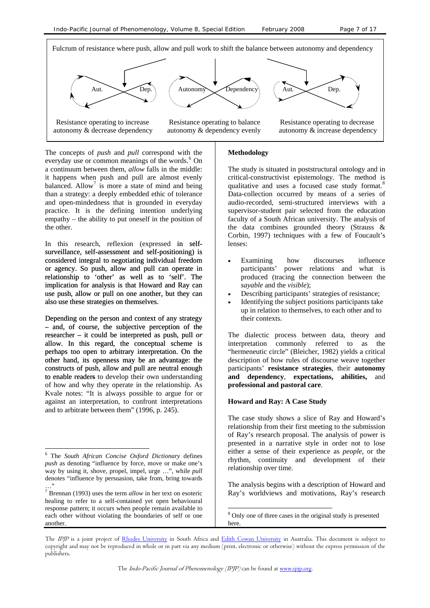

The concepts of *push* and *pull* correspond with the everyday use or common meanings of the words.<sup>[6](#page-6-0)</sup> On a continuum between them, *allow* falls in the middle: it happens when push and pull are almost evenly balanced. Allow<sup>[7](#page-6-1)</sup> is more a state of mind and being than a strategy: a deeply embedded ethic of tolerance and open*-*mindedness that is grounded in everyday practice. It is the defining intention underlying empathy – the ability to put oneself in the position of the other.

In this research, reflexion (expressed in self surveillance, self-assessment and self-positioning) is considered integral to negotiating individual freedom or agency. So push, allow and pull can operate in relationship to 'other' as well as to 'self'. The implication for analysis is that Howard and Ray can use push, allow or pull on one another, but they can also use these strategies on themselves.

Depending on the person and context of any strategy – and, of course, the subjective perception of the researcher – it could be interpreted as push, pull *or* allow. In this regard, the conceptual scheme is perhaps too open to arbitrary interpretation. On the other hand, its openness may be an advantage: the constructs of push, allow and pull are neutral enough constructs of push, allow and pull are neutral enough<br>to enable readers to develop their own understanding Depending on the person and context of any strategy – and, of course, the subjective perception of the researcher – it could be interpreted as push, pull *or* of how and why they operate in the relationship. As Kvale notes: "It is always possible to argue for or against an interpretation, to confront interpretations and to arbitrate between them" (1996, p. 245).

 $\overline{a}$ 

## **Methodology**

The study is situated in poststructural ontology and in critical-constructivist epistemology. The method is qualitative and uses a focused case study format.<sup>[8](#page-6-2)</sup> Data-collection occurred by means of a series of audio-recorded, semi*-*structured interviews with a supervisor*-*student pair selected from the education faculty of a South African university. The analysis of the data combines grounded theory (Strauss & Corbin, 1997) techniques with a few of Foucault's lenses:

- Examining how discourses influence participants' power relations and what is produced (tracing the connection between the *sayable* and the *visible*);
- Describing participants' strategies of resistance;
- Identifying the subject positions participants take up in relation to themselves, to each other and to their contexts.

The dialectic process between data, theory and interpretation commonly referred to as the "hermeneutic circle" (Bleicher, 1982) yields a critical description of how rules of discourse weave together participants' **resistance strategies**, their **autonomy and dependency**, **expectations, abilities,** and **professional and pastoral care**.

## **Howard and Ray: A Case Study**

The case study shows a slice of Ray and Howard's relationship from their first meeting to the submission of Ray's research proposal. The analysis of power is presented in a narrative style in order not to lose either a sense of their experience as *people*, or the rhythm, continuity and development of their relationship over time.

The analysis begins with a description of Howard and Ray's worldviews and motivations, Ray's research

<sup>8</sup> Only one of three cases in the original study is presented here.

 $\overline{a}$ 

<span id="page-6-0"></span><sup>6</sup> The *South African Concise Oxford Dictionary* defines *push* as denoting "influence by force, move or make one's way by using it, shove, propel, impel, urge …", while *pull* denotes "influence by persuasion, take from, bring towards

<span id="page-6-1"></span><sup>…&</sup>quot; 7 Brennan (1993) uses the term *allow* in her text on esoteric healing to refer to a self-contained yet open behavioural response pattern; it occurs when people remain available to each other without violating the boundaries of self or one another.

<span id="page-6-2"></span>The IPJP is a joint project of Rhodes University in South Africa and Edith Cowan University in Australia. This document is subject to copyright and may not be reproduced in whole or in part via any medium (print, electronic or otherwise) without the express permission of the publishers.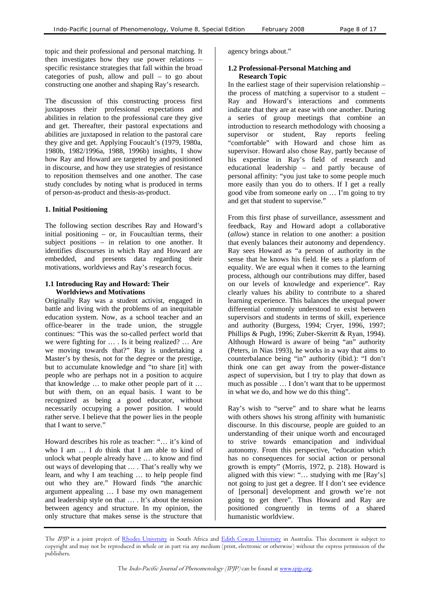topic and their professional and personal matching. It then investigates how they use power relations – specific resistance strategies that fall within the broad categories of push, allow and pull – to go about constructing one another and shaping Ray's research.

The discussion of this constructing process first juxtaposes their professional expectations and abilities in relation to the professional care they give and get. Thereafter, their pastoral expectations and abilities are juxtaposed in relation to the pastoral care they give and get. Applying Foucault's (1979, 1980a, 1980b, 1982/1996a, 1988, 1996b) insights, I show how Ray and Howard are targeted by and positioned in discourse, and how they use strategies of resistance to reposition themselves and one another. The case study concludes by noting what is produced in terms of person-as-product and thesis-as-product.

## **1. Initial Positioning**

The following section describes Ray and Howard's initial positioning – or, in Foucaultian terms, their subject positions – in relation to one another. It identifies discourses in which Ray and Howard are embedded, and presents data regarding their motivations, worldviews and Ray's research focus.

#### **1.1 Introducing Ray and Howard: Their Worldviews and Motivations**

Originally Ray was a student activist, engaged in battle and living with the problems of an inequitable education system. Now, as a school teacher and an office-bearer in the trade union, the struggle continues: "This was the so*-*called perfect world that we were fighting for … . Is it being realized? … Are we moving towards that?" Ray is undertaking a Master's by thesis, not for the degree or the prestige, but to accumulate knowledge and "to share [it] with people who are perhaps not in a position to acquire that knowledge … to make other people part of it … but *with* them, on an equal basis. I want to be recognized as being a good educator, without necessarily occupying a power position. I would rather serve. I believe that the power lies in the people that I want to serve."

Howard describes his role as teacher: "… it's kind of who I am … I *do* think that I am able to kind of unlock what people already have … to know and find out ways of developing that … . That's really why we learn, and why I am teaching … to help people find out who they are." Howard finds "the anarchic argument appealing … I base my own management and leadership style on that … . It's about the tension between agency and structure. In my opinion, the only structure that makes sense is the structure that

agency brings about."

#### **1.2 Professional-Personal Matching and Research Topic**

In the earliest stage of their supervision relationship – the process of matching a supervisor to a student  $-$ Ray and Howard's interactions and comments indicate that they are at ease with one another. During a series of group meetings that combine an introduction to research methodology with choosing a supervisor or student, Ray reports feeling "comfortable" with Howard and chose him as supervisor. Howard also chose Ray, partly because of his expertise in Ray's field of research and educational leadership – and partly because of personal affinity: "you just take to some people much more easily than you do to others. If I get a really good vibe from someone early on … I'm going to try and get that student to supervise."

From this first phase of surveillance, assessment and feedback, Ray and Howard adopt a collaborative (*allow*) stance in relation to one another: a position that evenly balances their autonomy and dependency. Ray sees Howard as "a person of authority in the sense that he knows his field. He sets a platform of equality. We are equal when it comes to the learning process, although our contributions may differ, based on our levels of knowledge and experience". Ray clearly values his ability to contribute to a shared learning experience. This balances the unequal power differential commonly understood to exist between supervisors and students in terms of skill, experience and authority (Burgess, 1994; Cryer, 1996, 1997; Phillips & Pugh, 1996; Zuber*-*Skerritt & Ryan, 1994). Although Howard is aware of being "an" authority (Peters, in Nias 1993), he works in a way that aims to counterbalance being "in" authority (ibid.): "I don't think one can get away from the power*-*distance aspect of supervision, but I try to play that down as much as possible … I don't want that to be uppermost in what we do, and how we do this thing".

Ray's wish to "serve" and to share what he learns with others shows his strong affinity with humanistic discourse. In this discourse, people are guided to an understanding of their unique worth and encouraged to strive towards emancipation and individual autonomy. From this perspective, "education which has no consequences for social action or personal growth is empty" (Morris, 1972, p. 218). Howard is aligned with this view: "… studying with me [Ray's] not going to just get a degree. If I don't see evidence of [personal] development and growth we're not going to get there". Thus Howard and Ray are positioned congruently in terms of a shared humanistic worldview.

The IPJP is a joint project of Rhodes University in South Africa and Edith Cowan University in Australia. This document is subject to copyright and may not be reproduced in whole or in part via any medium (print, electronic or otherwise) without the express permission of the publishers.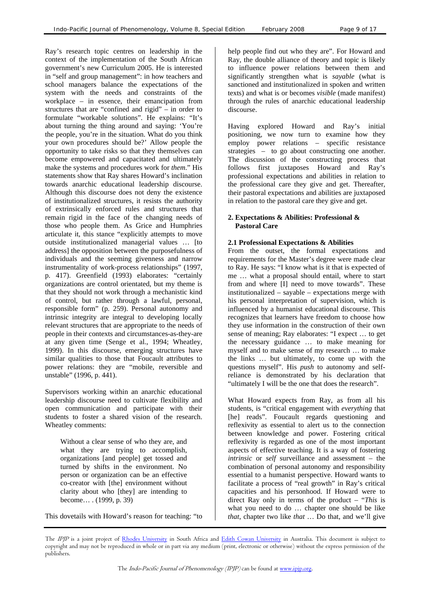Ray's research topic centres on leadership in the context of the implementation of the South African government's new Curriculum 2005. He is interested in "self and group management": in how teachers and school managers balance the expectations of the system with the needs and constraints of the workplace – in essence, their emancipation from structures that are "confined and rigid" – in order to formulate "workable solutions". He explains: "It's about turning the thing around and saying: 'You're the people, you're in the situation. What do you think your own procedures should be?' Allow people the opportunity to take risks so that they themselves can become empowered and capacitated and ultimately make the systems and procedures work for *them*." His statements show that Ray shares Howard's inclination towards anarchic educational leadership discourse. Although this discourse does not deny the existence of institutionalized structures, it resists the authority of extrinsically enforced rules and structures that remain rigid in the face of the changing needs of those who people them. As Grice and Humphries articulate it, this stance "explicitly attempts to move outside institutionalized managerial values … [to address] the opposition between the purposefulness of individuals and the seeming givenness and narrow instrumentality of work*-*process relationships" (1997, p. 417). Greenfield (1993) elaborates: "certainly organizations are control orientated, but my theme is that they should not work through a mechanistic kind of control, but rather through a lawful, personal, responsible form" (p. 259). Personal autonomy and intrinsic integrity are integral to developing locally relevant structures that are appropriate to the needs of people in their contexts and circumstances*-*as*-*they*-*are at any given time (Senge et al., 1994; Wheatley, 1999). In this discourse, emerging structures have similar qualities to those that Foucault attributes to power relations: they are "mobile, reversible and unstable" (1996, p. 441).

Supervisors working within an anarchic educational leadership discourse need to cultivate flexibility and open communication and participate with their students to foster a shared vision of the research. Wheatley comments:

Without a clear sense of who they are, and what they are trying to accomplish, organizations [and people] get tossed and turned by shifts in the environment. No person or organization can be an effective co*-*creator with [the] environment without clarity about who [they] are intending to become… . (1999, p. 39)

This dovetails with Howard's reason for teaching: "to

help people find out who they are". For Howard and Ray, the double alliance of theory and topic is likely to influence power relations between them and significantly strengthen what is *sayable* (what is sanctioned and institutionalized in spoken and written texts) and what is or becomes *visible* (made manifest) through the rules of anarchic educational leadership discourse.

Having explored Howard and Ray's initial positioning, we now turn to examine how they employ power relations – specific resistance strategies – to go about constructing one another. The discussion of the constructing process that follows first juxtaposes Howard and Ray's professional expectations and abilities in relation to the professional care they give and get. Thereafter, their pastoral expectations and abilities are juxtaposed in relation to the pastoral care they give and get.

## **2. Expectations & Abilities: Professional & Pastoral Care**

## **2.1 Professional Expectations & Abilities**

From the outset, the formal expectations and requirements for the Master's degree were made clear to Ray. He says: "I know what is it that is expected of me … what a proposal should entail, where to start from and where [I] need to move towards". These institutionalized – sayable – expectations merge with his personal interpretation of supervision, which is influenced by a humanist educational discourse. This recognizes that learners have freedom to choose how they use information in the construction of their own sense of meaning; Ray elaborates: "I expect … to get the necessary guidance … to make meaning for myself and to make sense of my research … to make the links … but ultimately, to come up with the questions myself". His *push* to autonomy and selfreliance is demonstrated by his declaration that "ultimately I will be the one that does the research".

What Howard expects from Ray, as from all his students, is "critical engagement with *everything* that [he] reads". Foucault regards questioning and reflexivity as essential to alert us to the connection between knowledge and power. Fostering critical reflexivity is regarded as one of the most important aspects of effective teaching. It is a way of fostering *intrinsic* or *self* surveillance and assessment – the combination of personal autonomy and responsibility essential to a humanist perspective. Howard wants to facilitate a process of "real growth" in Ray's critical capacities and his personhood. If Howard were to direct Ray only in terms of the product – "*This* is what you need to do … chapter one should be like *that*, chapter two like *that* … Do that, and we'll give

The IPJP is a joint project of Rhodes University in South Africa and Edith Cowan University in Australia. This document is subject to copyright and may not be reproduced in whole or in part via any medium (print, electronic or otherwise) without the express permission of the publishers.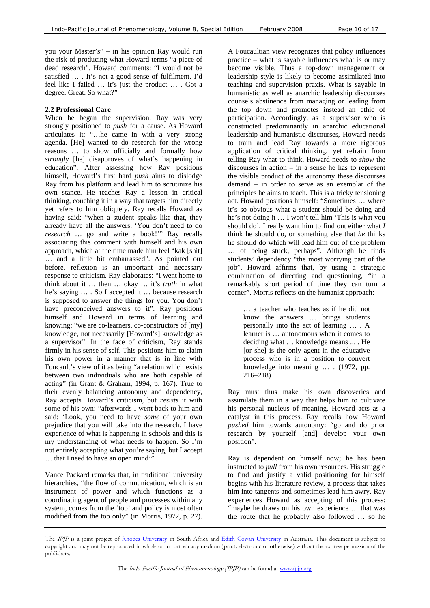you your Master's" – in his opinion Ray would run the risk of producing what Howard terms "a piece of dead research". Howard comments: "I would not be satisfied … . It's not a good sense of fulfilment. I'd feel like I failed … it's just the product … . Got a degree. Great. So what?"

#### **2.2 Professional Care**

When he began the supervision, Ray was very strongly positioned to *push* for a cause. As Howard articulates it: "…he came in with a very strong agenda. [He] wanted to do research for the wrong reasons … to show officially and formally how *strongly* [he] disapproves of what's happening in education". After assessing how Ray positions himself, Howard's first hard *push* aims to dislodge Ray from his platform and lead him to scrutinize his own stance. He teaches Ray a lesson in critical thinking, couching it in a way that targets him directly yet refers to him obliquely. Ray recalls Howard as having said: "when a student speaks like that, they already have all the answers. 'You don't need to do *research* … go and write a book!'" Ray recalls associating this comment with himself and his own approach, which at the time made him feel "kak [shit] … and a little bit embarrassed". As pointed out before, reflexion is an important and necessary response to criticism. Ray elaborates: "I went home to think about it … then … okay … it's *truth* in what he's saying … . So I accepted it … because research is supposed to answer the things for you. You don't have preconceived answers to it". Ray positions himself and Howard in terms of learning and knowing: "we are co*-*learners, co*-*constructors of [my] knowledge, not necessarily [Howard's] knowledge as a supervisor". In the face of criticism, Ray stands firmly in his sense of self. This positions him to claim his own power in a manner that is in line with Foucault's view of it as being "a relation which exists between two individuals who are both capable of acting" (in Grant & Graham, 1994, p. 167). True to their evenly balancing autonomy and dependency, Ray accepts Howard's criticism, but *resists* it with some of his own: "afterwards I went back to him and said: 'Look, you need to have *some* of your own prejudice that you will take into the research. I have experience of what is happening in schools and this is my understanding of what needs to happen. So I'm not entirely accepting what you're saying, but I accept … that I need to have an open mind'".

Vance Packard remarks that, in traditional university hierarchies, "the flow of communication, which is an instrument of power and which functions as a coordinating agent of people and processes within any system, comes from the 'top' and policy is most often modified from the top only" (in Morris, 1972, p. 27).

A Foucaultian view recognizes that policy influences practice – what is sayable influences what is or may become visible. Thus a top*-*down management or leadership style is likely to become assimilated into teaching and supervision praxis. What is sayable in humanistic as well as anarchic leadership discourses counsels abstinence from managing or leading from the top down and promotes instead an ethic of participation. Accordingly, as a supervisor who is constructed predominantly in anarchic educational leadership and humanistic discourses, Howard needs to train and lead Ray towards a more rigorous application of critical thinking, yet refrain from telling Ray what to think. Howard needs to *show* the discourses in action – in a sense he has to represent the visible product of the autonomy these discourses demand – in order to serve as an exemplar of the principles he aims to teach. This is a tricky tensioning act. Howard positions himself: "Sometimes … where it's so obvious what a student should be doing and he's not doing it … I won't tell him 'This is what you should do', I really want him to find out either what *I* think he should do, or something else that *he* thinks he should do which will lead him out of the problem … of being stuck, perhaps". Although he finds students' dependency "the most worrying part of the job", Howard affirms that, by using a strategic combination of directing and questioning, "in a remarkably short period of time they can turn a corner". Morris reflects on the humanist approach:

… a teacher who teaches as if he did not know the answers … brings students personally into the act of learning … . A learner is … autonomous when it comes to deciding what … knowledge means ... . He [or she] is the only agent in the educative process who is in a position to convert knowledge into meaning … . (1972, pp. 216–218)

Ray must thus make his own discoveries and assimilate them in a way that helps him to cultivate his personal nucleus of meaning. Howard acts as a catalyst in this process. Ray recalls how Howard *pushed* him towards autonomy: "go and do prior research by yourself [and] develop your own position".

Ray is dependent on himself now; he has been instructed to *pull* from his own resources*.* His struggle to find and justify a valid positioning for himself begins with his literature review, a process that takes him into tangents and sometimes lead him awry. Ray experiences Howard as accepting of this process: "maybe he draws on his own experience … that was the route that he probably also followed … so he

The IPJP is a joint project of Rhodes University in South Africa and Edith Cowan University in Australia. This document is subject to copyright and may not be reproduced in whole or in part via any medium (print, electronic or otherwise) without the express permission of the publishers.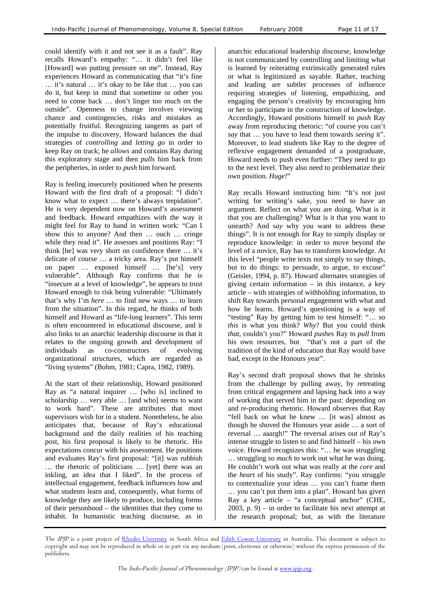could identify with it and not see it as a fault". Ray recalls Howard's empathy: "… it didn't feel like [Howard] was putting pressure on me". Instead, Ray experiences Howard as communicating that "it's fine … it's natural … it's okay to be like that … you can do it, but keep in mind that sometime or other you need to come back … don't linger too much on the outside". Openness to change involves viewing chance and contingencies, risks and mistakes as potentially fruitful. Recognizing tangents as part of the impulse to discovery, Howard balances the dual strategies of *controlling* and *letting go* in order to keep Ray on track; he *allows* and contains Ray during this exploratory stage and then *pulls* him back from the peripheries, in order to *push* him forward.

Ray is feeling insecurely positioned when he presents Howard with the first draft of a proposal: "I didn't know what to expect … there's always trepidation". He is very dependent now on Howard's assessment and feedback. Howard empathizes with the way it might feel for Ray to hand in written work: "Can I show this to anyone? And then … ouch … cringe while they read it". He assesses and positions Ray: "I think [he] was very short on confidence there … it's delicate of course … a tricky area. Ray's put himself on paper … exposed himself … [he's] very vulnerable". Although Ray confirms that he is "insecure at a level of knowledge", he appears to trust Howard enough to risk being vulnerable: "Ultimately that's why I'm *here* … to find new ways … to learn from the situation". In this regard, he thinks of both himself and Howard as "life*-*long learners". This term is often encountered in educational discourse, and it also links to an anarchic leadership discourse in that it relates to the ongoing growth and development of individuals as co*-*constructors of evolving organizational structures, which are regarded as "living systems" (Bohm, 1981; Capra, 1982, 1989).

At the start of their relationship, Howard positioned Ray as "a natural inquirer … [who is] inclined to scholarship … very able … [and who] seems to want to work hard". These are attributes that most supervisors wish for in a student. Nonetheless, he also anticipates that, because of Ray's educational background and the daily realities of his teaching post, his first proposal is likely to be rhetoric. His expectations concur with his assessment. He positions and evaluates Ray's first proposal: "[it] was rubbish … the rhetoric of politicians … [yet] there was an inkling, an idea that I liked". In the process of intellectual engagement, feedback influences how and what students learn and, consequently, what forms of knowledge they are likely to produce, including forms of their personhood – the identities that they come to inhabit. In humanistic teaching discourse, as in

anarchic educational leadership discourse, knowledge is not communicated by controlling and limiting what is learned by reiterating extrinsically generated rules or what is legitimized as sayable. Rather, teaching and leading are subtler processes of influence requiring strategies of listening, empathizing, and engaging the person's creativity by encouraging him or her to participate in the construction of knowledge. Accordingly, Howard positions himself to *push* Ray away from reproducing rhetoric: "of course you can't *say* that … you have to lead them towards *seeing* it". Moreover, to lead students like Ray to the degree of reflexive engagement demanded of a postgraduate, Howard needs to push even further: "They need to go to the next level. They also need to problematize their own position. *Huge!*"

Ray recalls Howard instructing him: "It's not just writing for writing's sake, you need to have an argument. Reflect on what you are doing. What is it that you are challenging? What is it that you want to unearth? And s*ay* why you want to address these things". It is not enough for Ray to simply display or reproduce knowledge: in order to move beyond the level of a novice, Ray has to transform knowledge. At this level "people write texts not simply to say things, but to do things: to persuade, to argue, to excuse" (Geisler, 1994, p. 87). Howard alternates strategies of giving certain information – in this instance, a key article – with strategies of withholding information, to shift Ray towards personal engagement with what and how he learns. Howard's questioning is a way of "testing" Ray by getting him to test himself: "… so *this* is what you think? *Why*? But you could think *that*, couldn't you?" Howard *pushes* Ray to *pull* from his own resources, but "that's not a part of the tradition of the kind of education that Ray would have had, except in the Honours year".

Ray's second draft proposal shows that he shrinks from the challenge by pulling away, by retreating from critical engagement and lapsing back into a way of working that served him in the past: depending on and re*-*producing rhetoric. Howard observes that Ray "fell back on what he knew … [it was] almost as though he shoved the Honours year aside … a sort of reversal … aaargh!" The reversal arises out of Ray's intense struggle to listen to and find himself – his own voice. Howard recognizes this: "… he was struggling … struggling so *much* to work out what he was doing. He couldn't work out what was really at the *core* and the *heart* of his study". Ray confirms: "you struggle to contextualize your ideas … you can't frame them … you can't put them into a plan". Howard has given Ray a key article – "a conceptual anchor" (CHE,  $2003$ , p. 9) – in order to facilitate his next attempt at the research proposal; but, as with the literature

The IPJP is a joint project of Rhodes University in South Africa and Edith Cowan University in Australia. This document is subject to copyright and may not be reproduced in whole or in part via any medium (print, electronic or otherwise) without the express permission of the publishers.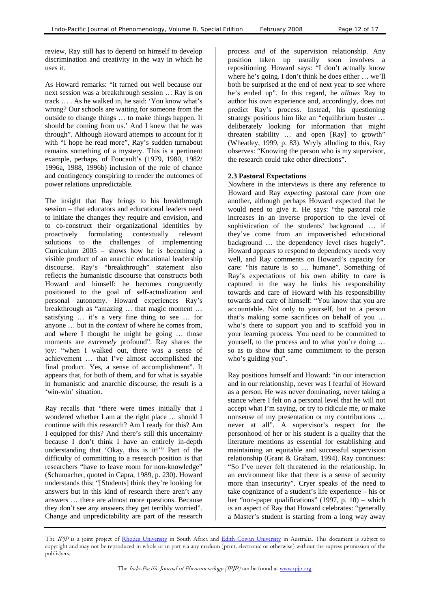review, Ray still has to depend on himself to develop discrimination and creativity in the way in which he uses it.

As Howard remarks: "it turned out well because our next session was a breakthrough session … Ray is on track … . As he walked in, he said: 'You know what's wrong? Our schools are waiting for someone from the outside to change things … to make things happen. It should be coming from us.' And I knew that he was through". Although Howard attempts to account for it with "I hope he read more", Ray's sudden turnabout remains something of a mystery. This is a pertinent example, perhaps, of Foucault's (1979, 1980, 1982/ 1996a, 1988, 1996b) inclusion of the role of chance and contingency conspiring to render the outcomes of power relations unpredictable.

The insight that Ray brings to his breakthrough session – that educators and educational leaders need to initiate the changes they require and envision, and to co*-*construct their organizational identities by proactively formulating contextually relevant solutions to the challenges of implementing Curriculum  $2005 -$  shows how he is becoming a visible product of an anarchic educational leadership discourse. Ray's "breakthrough" statement also reflects the humanistic discourse that constructs both Howard and himself: he becomes congruently positioned to the goal of self*-*actualization and personal autonomy. Howard experiences Ray's breakthrough as "amazing … that magic moment … satisfying … it's a very fine thing to see … for anyone … but in the *context* of where he comes from, and where I thought he might be going … those moments are *extremely* profound". Ray shares the joy: "when I walked out, there was a sense of achievement … that I've almost accomplished the final product. Yes, a sense of accomplishment". It appears that, for both of them, and for what is sayable in humanistic and anarchic discourse, the result is a 'win*-*win' situation.

Ray recalls that "there were times initially that I wondered whether I am at the right place … should I continue with this research? Am I ready for this? Am I equipped for this? And there's still this uncertainty because I don't think I have an entirely in*-*depth understanding that 'Okay, this is it!'" Part of the difficulty of committing to a research position is that researchers "have to leave room for non*-*knowledge" (Schumacher, quoted in Capra, 1989, p. 230). Howard understands this: "[Students] think they're looking for answers but in this kind of research there aren't any answers … there are almost more questions. Because they don't see any answers they get terribly worried". Change and unpredictability are part of the research

process *and* of the supervision relationship. Any position taken up usually soon involves a repositioning. Howard says: "I don't actually know where he's going. I don't think he does either … we'll both be surprised at the end of next year to see where he's ended up". In this regard, he *allows* Ray to author his own experience and, accordingly, does not predict Ray's process. Instead, his questioning strategy positions him like an "equilibrium buster … deliberately looking for information that might threaten stability … and open [Ray] to growth" (Wheatley, 1999, p. 83). Wryly alluding to this, Ray observes: "Knowing the person who is my supervisor, the research could take other directions".

#### **2.3 Pastoral Expectations**

Nowhere in the interviews is there any reference to Howard and Ray *expecting* pastoral care *from* one another, although perhaps Howard expected that he would need to give it. He says: "the pastoral role increases in an inverse proportion to the level of sophistication of the students' background … if they've come from an impoverished educational background … the dependency level rises hugely". Howard appears to respond to dependency needs very well, and Ray comments on Howard's capacity for care: "his nature is so … humane". Something of Ray's expectations of his own ability to care is captured in the way he links his responsibility towards and care of Howard with his responsibility towards and care of himself: "You know that you are accountable. Not only to yourself, but to a person that's making some sacrifices on behalf of you … who's there to support you and to scaffold you in your learning process. You need to be committed to yourself, to the process and to what you're doing … so as to show that same commitment to the person who's guiding you".

Ray positions himself and Howard: "in our interaction and in our relationship, never was I fearful of Howard as a person. He was never dominating, never taking a stance where I felt on a personal level that he will not accept what I'm saying, or try to ridicule me, or make nonsense of my presentation or my contributions … never at all". A supervisor's respect for the personhood of her or his student is a quality that the literature mentions as essential for establishing and maintaining an equitable and successful supervision relationship (Grant & Graham, 1994). Ray continues: "So I've never felt threatened in the relationship. In an environment like that there is a sense of security more than insecurity". Cryer speaks of the need to take cognizance of a student's life experience – his or her "non*-*paper qualifications" (1997, p. 10) – which is an aspect of Ray that Howard celebrates: "generally a Master's student is starting from a long way away

The IPJP is a joint project of Rhodes University in South Africa and Edith Cowan University in Australia. This document is subject to copyright and may not be reproduced in whole or in part via any medium (print, electronic or otherwise) without the express permission of the publishers.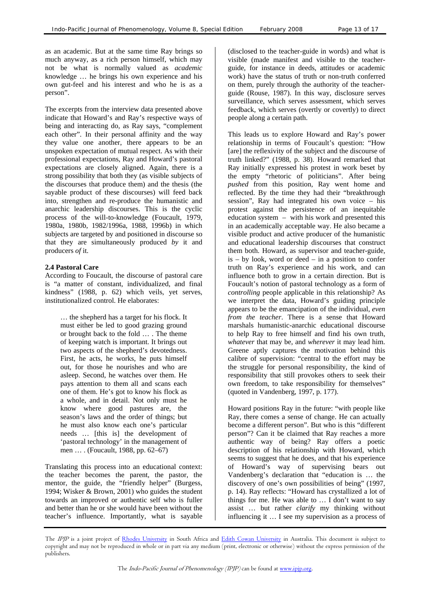as an academic. But at the same time Ray brings so much anyway, as a rich person himself, which may not be what is normally valued as *academic* knowledge … he brings his own experience and his own gut*-*feel and his interest and who he is as a person".

The excerpts from the interview data presented above indicate that Howard's and Ray's respective ways of being and interacting do, as Ray says, "complement each other". In their personal affinity and the way they value one another, there appears to be an unspoken expectation of mutual respect. As with their professional expectations, Ray and Howard's pastoral expectations are closely aligned. Again, there is a strong possibility that both they (as visible subjects of the discourses that produce them) and the thesis (the sayable product of these discourses) will feed back into, strengthen and re*-*produce the humanistic and anarchic leadership discourses. This is the cyclic process of the will*-*to*-*knowledge (Foucault, 1979, 1980a, 1980b, 1982/1996a, 1988, 1996b) in which subjects are targeted by and positioned in discourse so that they are simultaneously produced *by* it and producers *of* it.

## **2.4 Pastoral Care**

According to Foucault, the discourse of pastoral care is "a matter of constant, individualized, and final kindness" (1988, p. 62) which veils, yet serves, institutionalized control. He elaborates:

… the shepherd has a target for his flock. It must either be led to good grazing ground or brought back to the fold … . The theme of keeping watch is important. It brings out two aspects of the shepherd's devotedness. First, he acts, he works, he puts himself out, for those he nourishes and who are asleep. Second, he watches over them. He pays attention to them all and scans each one of them. He's got to know his flock as a whole, and in detail. Not only must he know where good pastures are, the season's laws and the order of things; but he must also know each one's particular needs … [this is] the development of 'pastoral technology' in the management of men … . (Foucault, 1988, pp. 62–67)

Translating this process into an educational context: the teacher becomes the parent, the pastor, the mentor, the guide, the "friendly helper" (Burgess, 1994; Wisker & Brown, 2001) who guides the student towards an improved or authentic self who is fuller and better than he or she would have been without the teacher's influence. Importantly, what is sayable (disclosed to the teacher*-*guide in words) and what is visible (made manifest and visible to the teacherguide, for instance in deeds, attitudes or academic work) have the status of truth or non*-*truth conferred on them, purely through the authority of the teacherguide (Rouse, 1987). In this way, disclosure serves surveillance, which serves assessment, which serves feedback, which serves (overtly or covertly) to direct people along a certain path.

This leads us to explore Howard and Ray's power relationship in terms of Foucault's question: "How [are] the reflexivity of the subject and the discourse of truth linked?" (1988, p. 38). Howard remarked that Ray initially expressed his protest in work beset by the empty "rhetoric of politicians". After being *pushed* from this position, Ray went home and reflected. By the time they had their "breakthrough session", Ray had integrated his own voice – his protest against the persistence of an inequitable education system – with his work and presented this in an academically acceptable way. He also became a visible product and active producer of the humanistic and educational leadership discourses that construct them both. Howard, as supervisor and teacher*-*guide,  $is - by look, word or deed - in a position to confer$ truth on Ray's experience and his work, and can influence both to grow in a certain direction. But is Foucault's notion of pastoral technology as a form of *controlling* people applicable in this relationship? As we interpret the data, Howard's guiding principle appears to be the emancipation of the individual, *even from the teacher*. There is a sense that Howard marshals humanistic*-*anarchic educational discourse to help Ray to free himself and find his own truth, *whatever* that may be, and *wherever* it may lead him. Greene aptly captures the motivation behind this calibre of supervision: "central to the effort may be the struggle for personal responsibility, the kind of responsibility that still provokes others to seek their own freedom, to take responsibility for themselves" (quoted in Vandenberg, 1997, p. 177).

Howard positions Ray in the future: "with people like Ray, there comes a sense of change. He can actually become a different person". But who is this "different person"? Can it be claimed that Ray reaches a more authentic way of being? Ray offers a poetic description of his relationship with Howard, which seems to suggest that he does, and that his experience of Howard's way of supervising bears out Vandenberg's declaration that "education is … the discovery of one's own possibilities of being" (1997, p. 14). Ray reflects: "Howard has crystallized a lot of things for me. He was able to … I don't want to say assist … but rather *clarify* my thinking without influencing it … I see my supervision as a process of

The IPJP is a joint project of Rhodes University in South Africa and Edith Cowan University in Australia. This document is subject to copyright and may not be reproduced in whole or in part via any medium (print, electronic or otherwise) without the express permission of the publishers.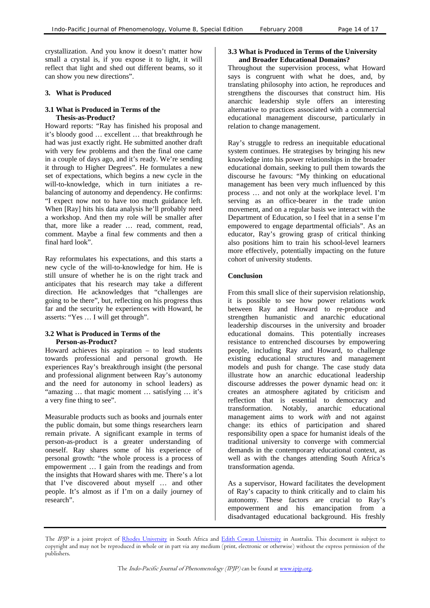crystallization. And you know it doesn't matter how small a crystal is, if you expose it to light, it will reflect that light and shed out different beams, so it can show you new directions".

#### **3. What is Produced**

#### **3.1 What is Produced in Terms of the Thesis-as-Product?**

Howard reports: "Ray has finished his proposal and it's bloody good … excellent … that breakthrough he had was just exactly right. He submitted another draft with very few problems and then the final one came in a couple of days ago, and it's ready. We're sending it through to Higher Degrees". He formulates a new set of expectations, which begins a new cycle in the will*-*to*-*knowledge, which in turn initiates a rebalancing of autonomy and dependency. He confirms: "I expect now not to have too much guidance left. When [Ray] hits his data analysis he'll probably need a workshop. And then my role will be smaller after that, more like a reader … read, comment, read, comment. Maybe a final few comments and then a final hard look".

Ray reformulates his expectations, and this starts a new cycle of the will*-*to*-*knowledge for him. He is still unsure of whether he is on the right track and anticipates that his research may take a different direction. He acknowledges that "challenges are going to be there", but, reflecting on his progress thus far and the security he experiences with Howard, he asserts: "Yes … I will get through".

#### **3.2 What is Produced in Terms of the Person-as-Product?**

Howard achieves his aspiration – to lead students towards professional and personal growth. He experiences Ray's breakthrough insight (the personal and professional alignment between Ray's autonomy and the need for autonomy in school leaders) as "amazing … that magic moment … satisfying … it's a very fine thing to see".

Measurable products such as books and journals enter the public domain, but some things researchers learn remain private. A significant example in terms of person*-*as*-*product is a greater understanding of oneself. Ray shares some of his experience of personal growth: "the whole process is a process of empowerment … I gain from the readings and from the insights that Howard shares with me. There's a lot that I've discovered about myself … and other people. It's almost as if I'm on a daily journey of research".

## **3.3 What is Produced in Terms of the University and Broader Educational Domains?**

Throughout the supervision process, what Howard says is congruent with what he does, and, by translating philosophy into action, he reproduces and strengthens the discourses that construct him. His anarchic leadership style offers an interesting alternative to practices associated with a commercial educational management discourse, particularly in relation to change management.

Ray's struggle to redress an inequitable educational system continues. He strategises by bringing his new knowledge into his power relationships in the broader educational domain, seeking to pull them towards the discourse he favours: "My thinking on educational management has been very much influenced by this process … and not only at the workplace level. I'm serving as an office-bearer in the trade union movement, and on a regular basis we interact with the Department of Education, so I feel that in a sense I'm empowered to engage departmental officials". As an educator, Ray's growing grasp of critical thinking also positions him to train his school-level learners more effectively, potentially impacting on the future cohort of university students.

## **Conclusion**

From this small slice of their supervision relationship, it is possible to see how power relations work between Ray and Howard to re*-*produce and strengthen humanistic and anarchic educational leadership discourses in the university and broader educational domains. This potentially increases resistance to entrenched discourses by empowering people, including Ray and Howard, to challenge existing educational structures and management models and push for change. The case study data illustrate how an anarchic educational leadership discourse addresses the power dynamic head on: it creates an atmosphere agitated by criticism and reflection that is essential to democracy and transformation. Notably, anarchic educational management aims to work *with* and not against change: its ethics of participation and shared responsibility open a space for humanist ideals of the traditional university to converge with commercial demands in the contemporary educational context, as well as with the changes attending South Africa's transformation agenda.

As a supervisor, Howard facilitates the development of Ray's capacity to think critically and to claim his autonomy. These factors are crucial to Ray's empowerment and his emancipation from a disadvantaged educational background. His freshly

The IPJP is a joint project of Rhodes University in South Africa and Edith Cowan University in Australia. This document is subject to copyright and may not be reproduced in whole or in part via any medium (print, electronic or otherwise) without the express permission of the publishers.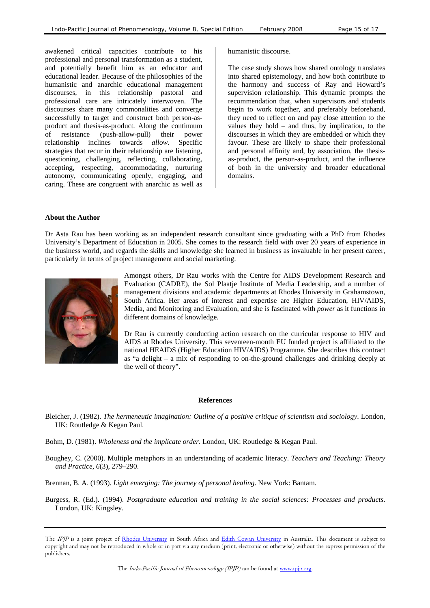awakened critical capacities contribute to his professional and personal transformation as a student, and potentially benefit him as an educator and educational leader. Because of the philosophies of the humanistic and anarchic educational management discourses, in this relationship pastoral and professional care are intricately interwoven. The discourses share many commonalities and converge successfully to target and construct both person*-*asproduct and thesis*-*as*-*product. Along the continuum of resistance (push*-*allow*-*pull) their power relationship inclines towards *allow*. Specific strategies that recur in their relationship are listening, questioning, challenging, reflecting, collaborating, accepting, respecting, accommodating, nurturing autonomy, communicating openly, engaging, and caring. These are congruent with anarchic as well as

humanistic discourse.

The case study shows how shared ontology translates into shared epistemology, and how both contribute to the harmony and success of Ray and Howard's supervision relationship. This dynamic prompts the recommendation that, when supervisors and students begin to work together, and preferably beforehand, they need to reflect on and pay close attention to the values they hold – and thus, by implication, to the discourses in which they are embedded or which they favour. These are likely to shape their professional and personal affinity and, by association, the thesisas-product, the person-as-product, and the influence of both in the university and broader educational domains.

#### **About the Author**

Dr Asta Rau has been working as an independent research consultant since graduating with a PhD from Rhodes University's Department of Education in 2005. She comes to the research field with over 20 years of experience in the business world, and regards the skills and knowledge she learned in business as invaluable in her present career, particularly in terms of project management and social marketing.



Amongst others, Dr Rau works with the Centre for AIDS Development Research and Evaluation (CADRE), the Sol Plaatje Institute of Media Leadership, and a number of management divisions and academic departments at Rhodes University in Grahamstown, South Africa. Her areas of interest and expertise are Higher Education, HIV/AIDS, Media, and Monitoring and Evaluation, and she is fascinated with *power* as it functions in different domains of knowledge.

Dr Rau is currently conducting action research on the curricular response to HIV and AIDS at Rhodes University. This seventeen-month EU funded project is affiliated to the national HEAIDS (Higher Education HIV/AIDS) Programme. She describes this contract as "a delight – a mix of responding to on-the-ground challenges and drinking deeply at the well of theory".

#### **References**

- Bleicher, J. (1982). *The hermeneutic imagination: Outline of a positive critique of scientism and sociology*. London, UK: Routledge & Kegan Paul.
- Bohm, D. (1981). *Wholeness and the implicate order*. London, UK: Routledge & Kegan Paul.
- Boughey, C. (2000). Multiple metaphors in an understanding of academic literacy. *Teachers and Teaching: Theory and Practice, 6*(3), 279–290.
- Brennan, B. A. (1993). *Light emerging: The journey of personal healing*. New York: Bantam.
- Burgess, R. (Ed.). (1994). *Postgraduate education and training in the social sciences: Processes and products*. London, UK: Kingsley.

The IPJP is a joint project of Rhodes University in South Africa and Edith Cowan University in Australia. This document is subject to copyright and may not be reproduced in whole or in part via any medium (print, electronic or otherwise) without the express permission of the publishers.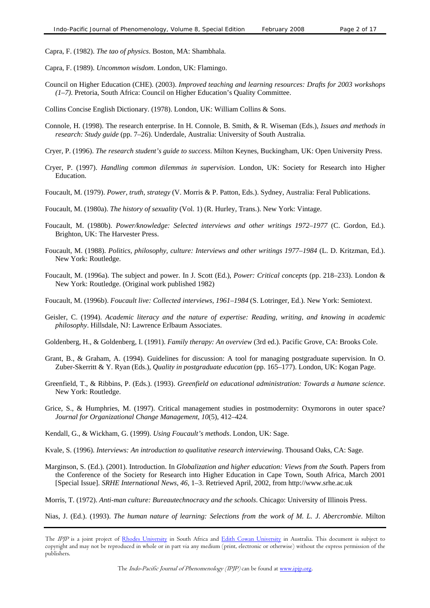Capra, F. (1982). *The tao of physics*. Boston, MA: Shambhala.

- Capra, F. (1989). *Uncommon wisdom*. London, UK: Flamingo.
- Council on Higher Education (CHE). (2003). *Improved teaching and learning resources: Drafts for 2003 workshops (1*–*7)*. Pretoria, South Africa: Council on Higher Education's Quality Committee.

Collins Concise English Dictionary. (1978). London, UK: William Collins & Sons.

- Connole, H. (1998). The research enterprise. In H. Connole, B. Smith, & R. Wiseman (Eds.), *Issues and methods in research: Study guide* (pp. 7–26). Underdale, Australia: University of South Australia.
- Cryer, P. (1996). *The research student's guide to success*. Milton Keynes, Buckingham, UK: Open University Press.
- Cryer, P. (1997). *Handling common dilemmas in supervision*. London, UK: Society for Research into Higher Education.
- Foucault, M. (1979). *Power, truth, strategy* (V. Morris & P. Patton, Eds.). Sydney, Australia: Feral Publications.
- Foucault, M. (1980a). *The history of sexuality* (Vol. 1) (R. Hurley, Trans.). New York: Vintage.
- Foucault, M. (1980b). *Power/knowledge: Selected interviews and other writings 1972*–*1977* (C. Gordon, Ed.). Brighton, UK: The Harvester Press.
- Foucault, M. (1988). *Politics, philosophy, culture: Interviews and other writings 1977*–*1984* (L. D. Kritzman, Ed.). New York: Routledge.
- Foucault, M. (1996a). The subject and power. In J. Scott (Ed.), *Power: Critical concepts* (pp. 218–233). London & New York: Routledge. (Original work published 1982)
- Foucault, M. (1996b). *Foucault live: Collected interviews, 1961–1984* (S. Lotringer, Ed.). New York: Semiotext.
- Geisler, C. (1994). *Academic literacy and the nature of expertise: Reading, writing, and knowing in academic philosophy*. Hillsdale, NJ: Lawrence Erlbaum Associates.

Goldenberg, H., & Goldenberg, I. (1991). *Family therapy: An overview* (3rd ed.). Pacific Grove, CA: Brooks Cole.

- Grant, B., & Graham, A. (1994). Guidelines for discussion: A tool for managing postgraduate supervision. In O. Zuber*-*Skerritt & Y. Ryan (Eds.), *Quality in postgraduate education* (pp. 165–177). London, UK: Kogan Page.
- Greenfield, T., & Ribbins, P. (Eds.). (1993). *Greenfield on educational administration: Towards a humane science*. New York: Routledge.
- Grice, S., & Humphries, M. (1997). Critical management studies in postmodernity: Oxymorons in outer space? *Journal for Organizational Change Management*, *10*(5), 412–424.
- Kendall, G., & Wickham, G. (1999). *Using Foucault's methods*. London, UK: Sage.
- Kvale, S. (1996). *Interviews: An introduction to qualitative research interviewing*. Thousand Oaks, CA: Sage.
- Marginson, S. (Ed.). (2001). Introduction. In *Globalization and higher education: Views from the South.* Papers from the Conference of the Society for Research into Higher Education in Cape Town, South Africa, March 2001 [Special Issue]. *SRHE International News*, *46*, 1–3. Retrieved April, 2002, from http://www.srhe.ac.uk

Morris, T. (1972). *Anti-man culture: Bureautechnocracy and the schools*. Chicago: University of Illinois Press.

Nias, J. (Ed.). (1993). *The human nature of learning: Selections from the work of M. L. J. Abercrombie*. Milton

The IPJP is a joint project of Rhodes University in South Africa and Edith Cowan University in Australia. This document is subject to copyright and may not be reproduced in whole or in part via any medium (print, electronic or otherwise) without the express permission of the publishers.